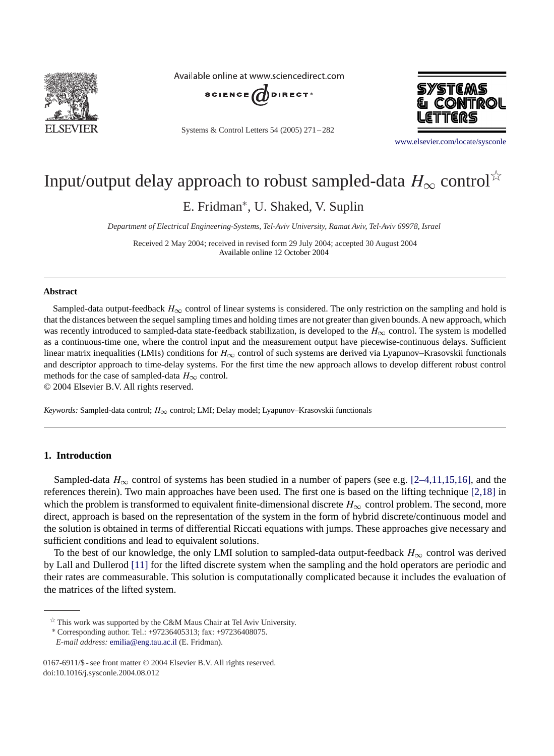

Available online at www.sciencedirect.com



Systems & Control Letters 54 (2005) 271 – 282



[www.elsevier.com/locate/sysconle](http://www.elsevier.com/locate/sysconle)

# Input/output delay approach to robust sampled-data  $H_{\infty}$  control<sup> $\hat{\times}$ </sup>

E. Fridman<sup>∗</sup>, U. Shaked, V. Suplin

*Department of Electrical Engineering-Systems, Tel-Aviv University, Ramat Aviv, Tel-Aviv 69978, Israel*

Received 2 May 2004; received in revised form 29 July 2004; accepted 30 August 2004 Available online 12 October 2004

## **Abstract**

Sampled-data output-feedback  $H_{\infty}$  control of linear systems is considered. The only restriction on the sampling and hold is that the distances between the sequel sampling times and holding times are not greater than given bounds. A new approach, which was recently introduced to sampled-data state-feedback stabilization, is developed to the  $H_{\infty}$  control. The system is modelled as a continuous-time one, where the control input and the measurement output have piecewise-continuous delays. Sufficient linear matrix inequalities (LMIs) conditions for  $H_{\infty}$  control of such systems are derived via Lyapunov–Krasovskii functionals and descriptor approach to time-delay systems. For the first time the new approach allows to develop different robust control methods for the case of sampled-data  $H_{\infty}$  control.

© 2004 Elsevier B.V. All rights reserved.

*Keywords:* Sampled-data control; H∞ control; LMI; Delay model; Lyapunov–Krasovskii functionals

## **1. Introduction**

Sampled-data  $H_{\infty}$  control of systems has been studied in a number of papers (see e.g. [2–4,11,15,16], and the references therein). Two main approaches have been used. The first one is based on the lifting technique [2,18] in which the problem is transformed to equivalent finite-dimensional discrete  $H_{\infty}$  control problem. The second, more direct, approach is based on the representation of the system in the form of hybrid discrete/continuous model and the solution is obtained in terms of differential Riccati equations with jumps. These approaches give necessary and sufficient conditions and lead to equivalent solutions.

To the best of our knowledge, the only LMI solution to sampled-data output-feedback  $H_{\infty}$  control was derived by Lall and Dullerod [\[11\]](#page-11-0) for the lifted discrete system when the sampling and the hold operators are periodic and their rates are commeasurable. This solution is computationally complicated because it includes the evaluation of the matrices of the lifted system.

 $\overrightarrow{r}$  This work was supported by the C&M Maus Chair at Tel Aviv University.

<sup>∗</sup> Corresponding author. Tel.: +97236405313; fax: +97236408075.

*E-mail address:* [emilia@eng.tau.ac.il](mailto:emilia@eng.tau.ac.il) (E. Fridman).

<sup>0167-6911/\$ -</sup> see front matter © 2004 Elsevier B.V. All rights reserved. doi:10.1016/j.sysconle.2004.08.012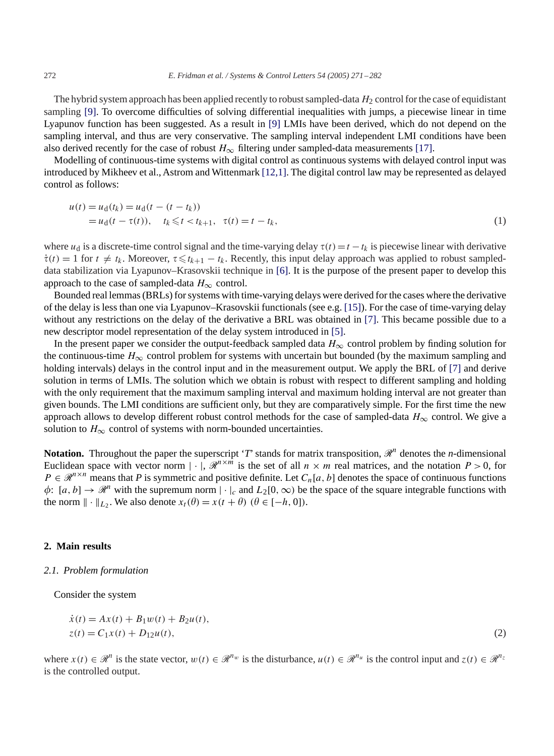The hybrid system approach has been applied recently to robust sampled-data  $H_2$  control for the case of equidistant sampling [\[9\].](#page-11-0) To overcome difficulties of solving differential inequalities with jumps, a piecewise linear in time Lyapunov function has been suggested. As a result in [\[9\]](#page-11-0) LMIs have been derived, which do not depend on the sampling interval, and thus are very conservative. The sampling interval independent LMI conditions have been also derived recently for the case of robust  $H_{\infty}$  filtering under sampled-data measurements [\[17\].](#page-11-0)

Modelling of continuous-time systems with digital control as continuous systems with delayed control input was introduced by Mikheev et al., Astrom and Wittenmark [12,1]. The digital control law may be represented as delayed control as follows:

$$
u(t) = u_d(t_k) = u_d(t - (t - t_k))
$$
  
=  $u_d(t - \tau(t)), \quad t_k \leq t < t_{k+1}, \quad \tau(t) = t - t_k,$  (1)

where  $u_d$  is a discrete-time control signal and the time-varying delay  $\tau(t) = t - t_k$  is piecewise linear with derivative  $\dot{\tau}(t) = 1$  for  $t \neq t_k$ . Moreover,  $\tau \leq t_{k+1} - t_k$ . Recently, this input delay approach was applied to robust sampleddata stabilization via Lyapunov–Krasovskii technique in [\[6\].](#page-11-0) It is the purpose of the present paper to develop this approach to the case of sampled-data  $H_{\infty}$  control.

Bounded real lemmas (BRLs) for systems with time-varying delays were derived for the cases where the derivative of the delay is less than one via Lyapunov–Krasovskii functionals (see e.g. [\[15\]\)](#page-11-0). For the case of time-varying delay without any restrictions on the delay of the derivative a BRL was obtained in [\[7\].](#page-11-0) This became possible due to a new descriptor model representation of the delay system introduced in [\[5\].](#page-11-0)

In the present paper we consider the output-feedback sampled data  $H_{\infty}$  control problem by finding solution for the continuous-time  $H_{\infty}$  control problem for systems with uncertain but bounded (by the maximum sampling and holding intervals) delays in the control input and in the measurement output. We apply the BRL of [\[7\]](#page-11-0) and derive solution in terms of LMIs. The solution which we obtain is robust with respect to different sampling and holding with the only requirement that the maximum sampling interval and maximum holding interval are not greater than given bounds. The LMI conditions are sufficient only, but they are comparatively simple. For the first time the new approach allows to develop different robust control methods for the case of sampled-data  $H_{\infty}$  control. We give a solution to  $H_{\infty}$  control of systems with norm-bounded uncertainties.

**Notation.** Throughout the paper the superscript '*T*' stands for matrix transposition,  $\mathcal{R}^n$  denotes the *n*-dimensional Euclidean space with vector norm  $|\cdot|$ ,  $\mathcal{R}^{n \times m}$  is the set of all  $n \times m$  real matrices, and the notation  $P > 0$ , for  $P \in \mathbb{R}^{n \times n}$  means that P is symmetric and positive definite. Let  $C_n[a, b]$  denotes the space of continuous functions  $\phi: [a, b] \to \mathcal{R}^n$  with the supremum norm  $|\cdot|_c$  and  $L_2[0, \infty)$  be the space of the square integrable functions with the norm  $\|\cdot\|_{L_2}$ . We also denote  $x_t(\theta) = x(t + \theta)$   $(\theta \in [-h, 0])$ .

## **2. Main results**

## *2.1. Problem formulation*

Consider the system

$$
\begin{aligned} \dot{x}(t) &= Ax(t) + B_1 w(t) + B_2 u(t), \\ z(t) &= C_1 x(t) + D_{12} u(t), \end{aligned} \tag{2}
$$

where  $x(t) \in \mathcal{R}^n$  is the state vector,  $w(t) \in \mathcal{R}^{n_w}$  is the disturbance,  $u(t) \in \mathcal{R}^{n_u}$  is the control input and  $z(t) \in \mathcal{R}^{n_z}$ is the controlled output.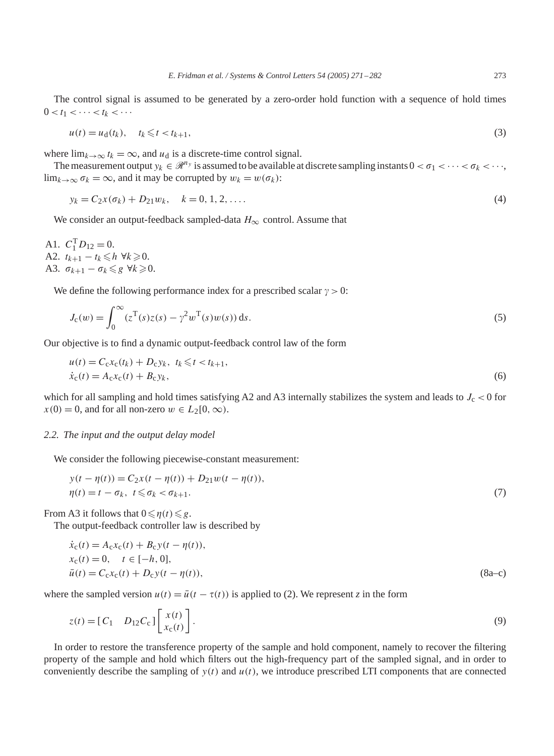The control signal is assumed to be generated by a zero-order hold function with a sequence of hold times  $0 < t_1 < \cdots < t_k < \cdots$ 

$$
u(t) = u_d(t_k), \quad t_k \leq t < t_{k+1},\tag{3}
$$

where  $\lim_{k\to\infty} t_k = \infty$ , and  $u_d$  is a discrete-time control signal.

The measurement output  $y_k \in \mathcal{R}^{n_y}$  is assumed to be available at discrete sampling instants  $0 < \sigma_1 < \cdots < \sigma_k < \cdots$  $\lim_{k \to \infty} \sigma_k = \infty$ , and it may be corrupted by  $w_k = w(\sigma_k)$ :

$$
y_k = C_2 x(\sigma_k) + D_{21} w_k, \quad k = 0, 1, 2, \dots
$$
\n<sup>(4)</sup>

We consider an output-feedback sampled-data  $H_{\infty}$  control. Assume that

A1.  $C_1^{\text{T}} D_{12} = 0$ . A2.  $t_{k+1} - t_k \leq h \ \forall k \geq 0$ . A3.  $\sigma_{k+1} - \sigma_k \leq g \ \forall k \geq 0$ .

We define the following performance index for a prescribed scalar  $\gamma > 0$ :

$$
J_{c}(w) = \int_{0}^{\infty} (z^{T}(s)z(s) - \gamma^{2}w^{T}(s)w(s)) ds.
$$
\n
$$
(5)
$$

Our objective is to find a dynamic output-feedback control law of the form

$$
u(t) = C_c x_c(t_k) + D_c y_k, \ t_k \leq t < t_{k+1},
$$
  
\n
$$
\dot{x}_c(t) = A_c x_c(t) + B_c y_k,
$$
\n(6)

which for all sampling and hold times satisfying A2 and A3 internally stabilizes the system and leads to  $J_c < 0$  for  $x(0) = 0$ , and for all non-zero  $w \in L_2[0, \infty)$ .

#### *2.2. The input and the output delay model*

We consider the following piecewise-constant measurement:

$$
y(t - \eta(t)) = C_2 x(t - \eta(t)) + D_{21} w(t - \eta(t)),
$$
  
\n
$$
\eta(t) = t - \sigma_k, \ t \le \sigma_k < \sigma_{k+1}.
$$
\n(7)

From A3 it follows that  $0 \le \eta(t) \le g$ .

The output-feedback controller law is described by

$$
\dot{x}_{c}(t) = A_{c}x_{c}(t) + B_{c}y(t - \eta(t)), \nx_{c}(t) = 0, \quad t \in [-h, 0], \n\bar{u}(t) = C_{c}x_{c}(t) + D_{c}y(t - \eta(t)),
$$
\n(8a-c)

where the sampled version  $u(t) = \bar{u}(t - \tau(t))$  is applied to (2). We represent *z* in the form

$$
z(t) = [C_1 \quad D_{12}C_c] \begin{bmatrix} x(t) \\ x_c(t) \end{bmatrix}.
$$
\n(9)

In order to restore the transference property of the sample and hold component, namely to recover the filtering property of the sample and hold which filters out the high-frequency part of the sampled signal, and in order to conveniently describe the sampling of  $y(t)$  and  $u(t)$ , we introduce prescribed LTI components that are connected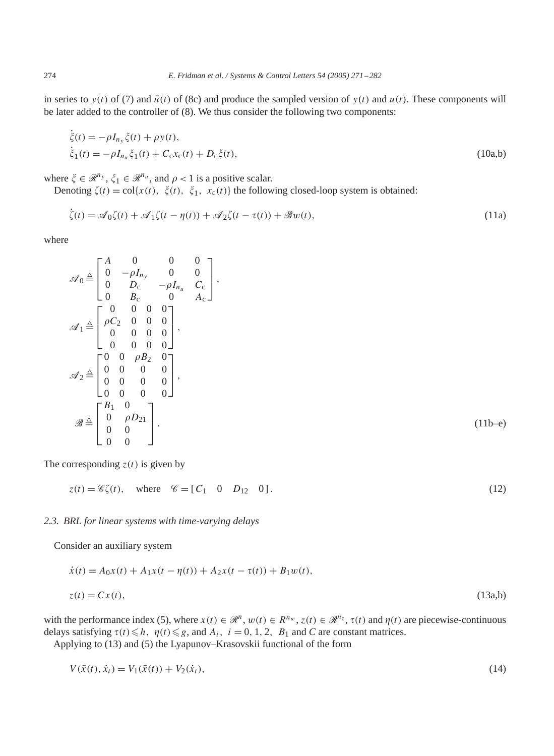in series to  $y(t)$  of (7) and  $\bar{u}(t)$  of (8c) and produce the sampled version of  $y(t)$  and  $u(t)$ . These components will be later added to the controller of (8). We thus consider the following two components:

$$
\dot{\xi}(t) = -\rho I_{n_y} \xi(t) + \rho y(t), \n\dot{\xi}_1(t) = -\rho I_{n_u} \xi_1(t) + C_c x_c(t) + D_c \xi(t),
$$
\n(10a,b)

where  $\xi \in \mathcal{R}^{n_y}$ ,  $\xi_1 \in \mathcal{R}^{n_u}$ , and  $\rho < 1$  is a positive scalar.

Denoting  $\zeta(t) = \text{col}\{x(t), \xi(t), \xi_1, x_c(t)\}$  the following closed-loop system is obtained:

$$
\dot{\zeta}(t) = \mathcal{A}_0 \zeta(t) + \mathcal{A}_1 \zeta(t - \eta(t)) + \mathcal{A}_2 \zeta(t - \tau(t)) + \mathcal{B}w(t),
$$
\n(11a)

where

˙

$$
\mathscr{A}_{0} \triangleq \begin{bmatrix} A & 0 & 0 & 0 \\ 0 & -\rho I_{n_{y}} & 0 & 0 \\ 0 & D_{c} & -\rho I_{n_{u}} & C_{c} \\ 0 & B_{c} & 0 & A_{c} \end{bmatrix},
$$
  
\n
$$
\mathscr{A}_{1} \triangleq \begin{bmatrix} 0 & 0 & 0 & 0 \\ \rho C_{2} & 0 & 0 & 0 \\ 0 & 0 & 0 & 0 \\ 0 & 0 & 0 & 0 \end{bmatrix},
$$
  
\n
$$
\mathscr{A}_{2} \triangleq \begin{bmatrix} 0 & 0 & \rho B_{2} & 0 \\ 0 & 0 & 0 & 0 \\ 0 & 0 & 0 & 0 \\ 0 & 0 & 0 & 0 \end{bmatrix},
$$
  
\n
$$
\mathscr{B} \triangleq \begin{bmatrix} B_{1} & 0 \\ 0 & \rho D_{21} \\ 0 & 0 & 0 \end{bmatrix}.
$$
 (11b-e)

The corresponding  $z(t)$  is given by

$$
z(t) = \mathcal{C}\zeta(t), \quad \text{where} \quad \mathcal{C} = [C_1 \quad 0 \quad D_{12} \quad 0]. \tag{12}
$$

#### *2.3. BRL for linear systems with time-varying delays*

Consider an auxiliary system

$$
\dot{x}(t) = A_0 x(t) + A_1 x(t - \eta(t)) + A_2 x(t - \tau(t)) + B_1 w(t),
$$
  
\n
$$
z(t) = C x(t),
$$
\n(13a,b)

with the performance index (5), where  $x(t) \in \mathbb{R}^n$ ,  $w(t) \in \mathbb{R}^{n_w}$ ,  $z(t) \in \mathbb{R}^{n_z}$ ,  $\tau(t)$  and  $\eta(t)$  are piecewise-continuous delays satisfying  $\tau(t) \le h$ ,  $\eta(t) \le g$ , and  $A_i$ ,  $i = 0, 1, 2$ ,  $B_1$  and *C* are constant matrices.

Applying to (13) and (5) the Lyapunov–Krasovskii functional of the form

$$
V(\bar{x}(t), \dot{x}_t) = V_1(\bar{x}(t)) + V_2(\dot{x}_t),
$$
\n(14)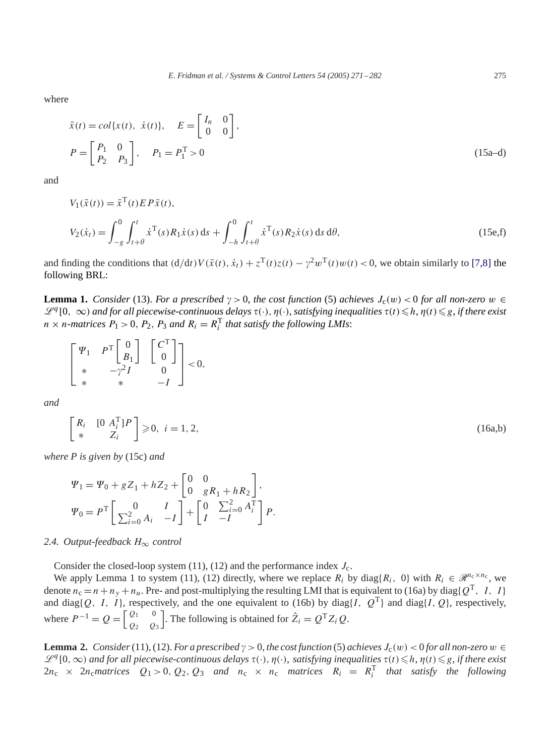where

$$
\bar{x}(t) = col\{x(t), \dot{x}(t)\}, \quad E = \begin{bmatrix} I_n & 0 \\ 0 & 0 \end{bmatrix},
$$

$$
P = \begin{bmatrix} P_1 & 0 \\ P_2 & P_3 \end{bmatrix}, \quad P_1 = P_1^T > 0
$$
\n(15a-d)

and

$$
V_1(\bar{x}(t)) = \bar{x}^{\mathrm{T}}(t) E P \bar{x}(t),
$$
  
\n
$$
V_2(\dot{x}_t) = \int_{-g}^0 \int_{t+\theta}^t \dot{x}^{\mathrm{T}}(s) R_1 \dot{x}(s) ds + \int_{-h}^0 \int_{t+\theta}^t \dot{x}^{\mathrm{T}}(s) R_2 \dot{x}(s) ds d\theta,
$$
\n(15e,f)

and finding the conditions that  $(d/dt)V(\bar{x}(t), \dot{x}_t) + z^{\text{T}}(t)z(t) - \gamma^2 w^{\text{T}}(t)w(t) < 0$ , we obtain similarly to [7,8] the following BRL:

**Lemma 1.** *Consider* (13). *For a prescribed*  $\gamma > 0$ , *the cost function* (5) *achieves*  $J_c(w) < 0$  *for all non-zero*  $w \in$  $\mathcal{L}^q$ [0, ∞) and for all piecewise-continuous delays τ(·),  $\eta$ (·), satisfying inequalities τ(t) ≤h,  $\eta$ (t) ≤g, if there exist  $n \times n$ -matrices  $P_1 > 0$ ,  $P_2$ ,  $P_3$  and  $R_i = R_i^T$  that satisfy the following LMIs:

$$
\begin{bmatrix} \varPsi_1 & P^{\mathrm{T}} \begin{bmatrix} 0 \\ B_1 \end{bmatrix} & \begin{bmatrix} C^{\mathrm{T}} \\ 0 \end{bmatrix} \\ * & -\gamma^2 I & 0 \\ * & * & -I \end{bmatrix} < 0,
$$

*and*

$$
\begin{bmatrix}\nR_i & [0 \ A_i^{\mathrm{T}}]P \\
* & Z_i\n\end{bmatrix} \geq 0, \ i = 1, 2,\n\tag{16a,b}
$$

*where P is given by* (15c) *and*

$$
\Psi_1 = \Psi_0 + gZ_1 + hZ_2 + \begin{bmatrix} 0 & 0 \\ 0 & gR_1 + hR_2 \end{bmatrix},
$$
  

$$
\Psi_0 = P^{\rm T} \begin{bmatrix} 0 & I \\ \sum_{i=0}^2 A_i & -I \end{bmatrix} + \begin{bmatrix} 0 & \sum_{i=0}^2 A_i^{\rm T} \\ I & -I \end{bmatrix} P.
$$

## *2.4. Output-feedback* H∞ *control*

Consider the closed-loop system (11), (12) and the performance index  $J_c$ .

We apply Lemma 1 to system (11), (12) directly, where we replace  $R_i$  by diag{ $R_i$ , 0} with  $R_i \in \mathcal{R}^{n_c \times n_c}$ , we denote  $n_c = n + n_y + n_u$ . Pre- and post-multiplying the resulting LMI that is equivalent to (16a) by diag{Q<sup>T</sup>, I, I} and diag{Q, I, I}, respectively, and the one equivalent to (16b) by diag{I,  $Q^T$ } and diag{I, Q}, respectively, where  $P^{-1} = Q = \begin{bmatrix} Q_1 & 0 \\ 0 & Q_2 \end{bmatrix}$  $Q_2$   $Q_3$ . The following is obtained for  $\hat{Z}_i = Q^T Z_i Q$ .

**Lemma 2.** *Consider*(11), (12). *For a prescribed*  $\gamma > 0$ , *the cost function* (5) *achieves*  $J_c(w) < 0$  *for all non-zero*  $w \in$  $\mathcal{L}^q[0,∞)$  *and for all piecewise-continuous delays*  $\tau(\cdot)$ ,  $\eta(\cdot)$ , *satisfying inequalities*  $\tau(t) \leq h$ ,  $\eta(t) \leq g$ , *if there exist*  $2n_c \times 2n_c$  *matrices*  $Q_1 > 0$ ,  $Q_2$ ,  $Q_3$  *and*  $n_c \times n_c$  *matrices*  $R_i = R_i^T$  *that satisfy the following*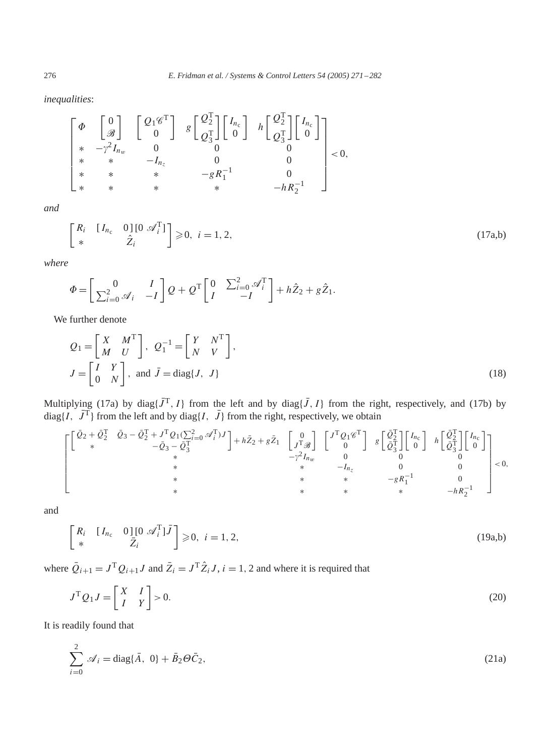*inequalities*:

$$
\begin{bmatrix} \varPhi & \begin{bmatrix} 0 \\ \mathscr{B} \end{bmatrix} & \begin{bmatrix} \mathcal{Q}_1 \mathscr{C}^T \\ 0 \end{bmatrix} & g \begin{bmatrix} \mathcal{Q}_2^T \\ \mathcal{Q}_3^T \end{bmatrix} \begin{bmatrix} I_{n_c} \\ 0 \end{bmatrix} & h \begin{bmatrix} \mathcal{Q}_2^T \\ \mathcal{Q}_3^T \end{bmatrix} \begin{bmatrix} I_{n_c} \\ 0 \end{bmatrix} \\ * & * & -I_{n_z} & 0 & 0 \\ * & * & * & -gR_1^{-1} & 0 \\ * & * & * & * & -hR_2^{-1} \end{bmatrix} < 0,
$$

*and*

$$
\begin{bmatrix}\nR_i & [I_{n_c} & 0] \left[ 0 \mathcal{A}_i^{\mathrm{T}} \right] \\
* & \hat{Z}_i\n\end{bmatrix} \geq 0, \quad i = 1, 2,\tag{17a,b}
$$

*where*

$$
\Phi = \begin{bmatrix} 0 & I \\ \sum_{i=0}^{2} \mathcal{A}_i & -I \end{bmatrix} Q + Q^{\mathrm{T}} \begin{bmatrix} 0 & \sum_{i=0}^{2} \mathcal{A}_i^{\mathrm{T}} \\ I & -I \end{bmatrix} + h \hat{Z}_2 + g \hat{Z}_1.
$$

We further denote

$$
Q_1 = \begin{bmatrix} X & M^{\mathrm{T}} \\ M & U \end{bmatrix}, \ Q_1^{-1} = \begin{bmatrix} Y & N^{\mathrm{T}} \\ N & V \end{bmatrix},
$$

$$
J = \begin{bmatrix} I & Y \\ 0 & N \end{bmatrix}, \text{ and } \bar{J} = \text{diag}\{J, J\}
$$
(18)

Multiplying (17a) by diag{ $\bar{J}^T$ ,  $I$ } from the left and by diag{ $\bar{J}$ ,  $I$ } from the right, respectively, and (17b) by  $diag\{I, \bar{J}^T\}$  from the left and by diag $\{I, \bar{J}\}$  from the right, respectively, we obtain

$$
\left[ \begin{matrix} \left[ \begin{matrix} \bar{Q}_2 + \bar{Q}_2^{\mathrm{T}} & \bar{Q}_3 - \bar{Q}_2^{\mathrm{T}} + J^{\mathrm{T}} Q_1 (\sum_{i=0}^2 \mathcal{A}_i^{\mathrm{T}}) J \\ * & -\bar{Q}_3 - \bar{Q}_3^{\mathrm{T}} \\ * & * & * \end{matrix} \right] + h \bar{Z}_2 + g \bar{Z}_1 & \begin{bmatrix} 0 \\ J^{\mathrm{T}} \mathcal{B} \\ * \end{bmatrix} & \begin{bmatrix} J^{\mathrm{T}} Q_1 \mathcal{C}^{\mathrm{T}} \\ 0 \end{bmatrix} & g \begin{bmatrix} \bar{Q}_2^{\mathrm{T}} \\ \bar{Q}_3^{\mathrm{T}} \end{bmatrix} \begin{bmatrix} I_{n_c} \\ 0 \end{bmatrix} & h \begin{bmatrix} \bar{Q}_2^{\mathrm{T}} \\ \bar{Q}_3^{\mathrm{T}} \end{bmatrix} \begin{bmatrix} I_{n_c} \\ 0 \end{bmatrix} \\ * & * & * & -I_{n_z} & 0 & 0 \\ * & * & * & -g R_1^{-1} & 0 \\ * & * & * & * & -h R_2^{-1} \end{bmatrix} < 0,
$$

and

$$
\begin{bmatrix}\nR_i & [I_{n_c} & 0] \left[ 0 \mathcal{A}_i^{\mathrm{T}} \right] \bar{J} \\
* & \bar{Z}_i\n\end{bmatrix} \geq 0, \quad i = 1, 2,\tag{19a,b}
$$

where  $\overline{Q}_{i+1} = J^{\mathrm{T}} Q_{i+1} J$  and  $\overline{Z}_i = J^{\mathrm{T}} \hat{Z}_i J$ ,  $i = 1, 2$  and where it is required that

$$
J^{\mathrm{T}}Q_1J = \begin{bmatrix} X & I \\ I & Y \end{bmatrix} > 0. \tag{20}
$$

It is readily found that

$$
\sum_{i=0}^{2} \mathcal{A}_i = \text{diag}\{\bar{A}, 0\} + \bar{B}_2 \Theta \bar{C}_2,
$$
\n(21a)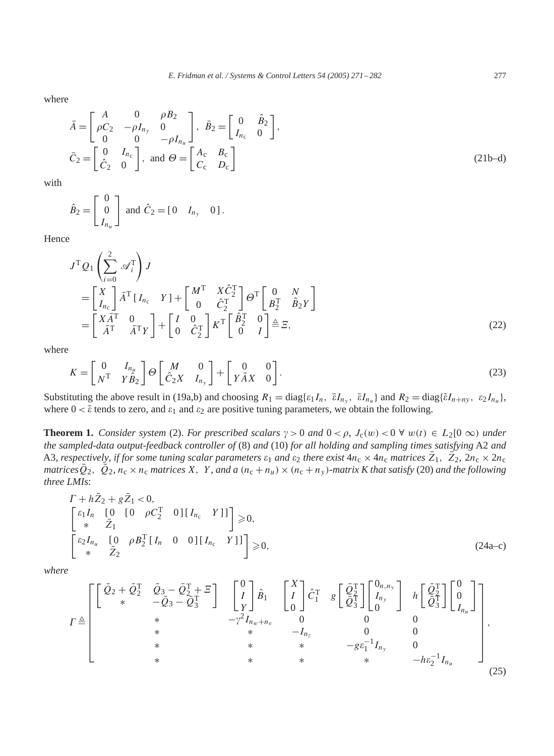where

$$
\bar{A} = \begin{bmatrix} A & 0 & \rho B_2 \\ \rho C_2 & -\rho I_{n_y} & 0 \\ 0 & 0 & -\rho I_{n_u} \end{bmatrix}, \quad \bar{B}_2 = \begin{bmatrix} 0 & \hat{B}_2 \\ I_{n_c} & 0 \end{bmatrix},
$$
  
\n
$$
\bar{C}_2 = \begin{bmatrix} 0 & I_{n_c} \\ \hat{C}_2 & 0 \end{bmatrix}, \text{ and } \Theta = \begin{bmatrix} A_c & B_c \\ C_c & D_c \end{bmatrix}
$$
\n(21b-d)

with

$$
\hat{B}_2 = \begin{bmatrix} 0 \\ 0 \\ I_{n_u} \end{bmatrix} \text{ and } \hat{C}_2 = \begin{bmatrix} 0 & I_{n_y} & 0 \end{bmatrix}.
$$

Hence

$$
J^{\mathrm{T}}Q_{1}\left(\sum_{i=0}^{2} \mathscr{A}_{i}^{\mathrm{T}}\right)J
$$
  
\n
$$
= \begin{bmatrix} X \\ I_{nc} \end{bmatrix} \bar{A}^{\mathrm{T}} \begin{bmatrix} I_{nc} & Y \end{bmatrix} + \begin{bmatrix} M^{\mathrm{T}} & X\hat{C}_{2}^{\mathrm{T}} \\ 0 & \hat{C}_{2}^{\mathrm{T}} \end{bmatrix} \Theta^{\mathrm{T}} \begin{bmatrix} 0 & N \\ B_{2}^{\mathrm{T}} & \hat{B}_{2}Y \end{bmatrix}
$$
  
\n
$$
= \begin{bmatrix} X\bar{A}^{\mathrm{T}} & 0 \\ \bar{A}^{\mathrm{T}} & \bar{A}^{\mathrm{T}}Y \end{bmatrix} + \begin{bmatrix} I & 0 \\ 0 & \hat{C}_{2}^{\mathrm{T}} \end{bmatrix} K^{\mathrm{T}} \begin{bmatrix} \hat{B}_{2}^{\mathrm{T}} & 0 \\ 0 & I \end{bmatrix} \triangleq \Xi,
$$
 (22)

where

$$
K = \begin{bmatrix} 0 & I_{n_u} \\ N^{\mathrm{T}} & Y \hat{B}_2 \end{bmatrix} \Theta \begin{bmatrix} M & 0 \\ \hat{C}_2 X & I_{n_y} \end{bmatrix} + \begin{bmatrix} 0 & 0 \\ Y \bar{A} X & 0 \end{bmatrix}.
$$
 (23)

Substituting the above result in (19a,b) and choosing  $R_1 = \text{diag}\{\varepsilon_1 I_n, \overline{\varepsilon} I_{n_y}, \overline{\varepsilon} I_{n_u}\}$  and  $R_2 = \text{diag}\{\overline{\varepsilon} I_{n+ny}, \varepsilon_2 I_{n_u}\}$ , where  $0 < \bar{\varepsilon}$  tends to zero, and  $\varepsilon_1$  and  $\varepsilon_2$  are positive tuning parameters, we obtain the following.

**Theorem 1.** *Consider system* (2). *For prescribed scalars*  $\gamma > 0$  *and*  $0 < \rho$ ,  $J_c(w) < 0 \ \forall w(t) \in L_2[0 \infty)$  *under the sampled-data output-feedback controller of* (8) *and* (10) *for all holding and sampling times satisfying* A2 *and* A3, *respectively*, *if for some tuning scalar parameters*  $\varepsilon_1$  *and*  $\varepsilon_2$  *there exist*  $4n_c \times 4n_c$  *matrices*  $\bar{Z}_1$ ,  $\bar{Z}_2$ ,  $2n_c \times 2n_c$ *matrices*  $\overline{Q}_2$ ,  $\overline{Q}_2$ ,  $n_c \times n_c$  *matrices* X, Y, *and a*  $(n_c + n_u) \times (n_c + n_v)$ *-matrix K that satisfy* (20) *and the following three LMIs*:

$$
\Gamma + h\bar{Z}_2 + g\bar{Z}_1 < 0,
$$
\n
$$
\begin{bmatrix}\n\varepsilon_1 I_n & [0 \quad [0 \quad \rho C_2^{\mathrm{T}} \quad 0][I_{n_c} \quad Y]] \\
\ast & \bar{Z}_1\n\end{bmatrix} \ge 0,
$$
\n
$$
\begin{bmatrix}\n\varepsilon_2 I_{n_u} & [0 \quad \rho B_2^{\mathrm{T}} [I_n \quad 0 \quad 0][I_{n_c} \quad Y]] \\
\ast & \bar{Z}_2\n\end{bmatrix} \ge 0,
$$
\n
$$
(24a-c)
$$

*where*

$$
\Gamma \triangleq \begin{bmatrix}\n\begin{bmatrix}\n\bar{Q}_2 + \bar{Q}_2^T & \bar{Q}_3 - \bar{Q}_2^T + \bar{Z} \\
\ast & -\bar{Q}_3 - \bar{Q}_3^T\n\end{bmatrix} & \begin{bmatrix}\n0 \\
I \\
Y\n\end{bmatrix} & \hat{B}_1 & \begin{bmatrix}\nX \\
I \\
0\n\end{bmatrix} & \hat{C}_1^T & g \begin{bmatrix}\n\bar{Q}_2^T \\
\bar{Q}_3^T\n\end{bmatrix} & \begin{bmatrix}\n0_{n,n_y} \\
I_{n_y}\n\end{bmatrix} & h \begin{bmatrix}\n\bar{Q}_2^T \\
\bar{Q}_3^T\n\end{bmatrix} & \begin{bmatrix}\n0 \\
0 \\
I_{n_u}\n\end{bmatrix} \\
\ast & \ast & -I_{n_z} & 0 & 0 \\
\ast & \ast & -g\varepsilon_1^{-1}I_{n_y} & 0 \\
\ast & \ast & \ast & -h\varepsilon_2^{-1}I_{n_u}\n\end{bmatrix},
$$
\n
$$
\times & \ast & \ast & -h\varepsilon_2^{-1}I_{n_u}
$$
\n(25)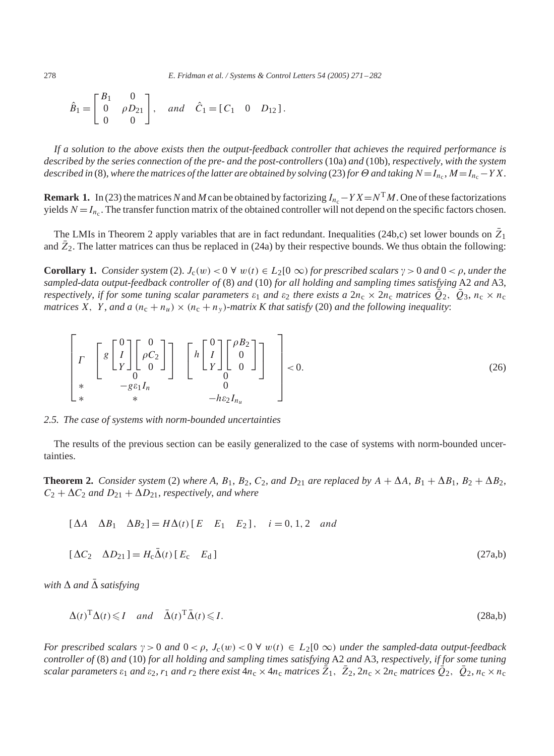278 *E. Fridman et al. / Systems & Control Letters 54 (2005) 271 – 282*

$$
\hat{B}_1 = \begin{bmatrix} B_1 & 0 \\ 0 & \rho D_{21} \\ 0 & 0 \end{bmatrix}, \quad and \quad \hat{C}_1 = [C_1 \quad 0 \quad D_{12}].
$$

*If a solution to the above exists then the output-feedback controller that achieves the required performance is described by the series connection of the pre- and the post-controllers* (10a) *and* (10b), *respectively*, *with the system described in* (8), where the matrices of the latter are obtained by solving (23) for  $\Theta$  and taking  $N = I_{n_c}$ ,  $M = I_{n_c} - YX$ .

**Remark 1.** In (23) the matrices N and M can be obtained by factorizing  $I_{n_c} - Y X = N^T M$ . One of these factorizations yields  $N = I_{n_c}$ . The transfer function matrix of the obtained controller will not depend on the specific factors chosen.

The LMIs in Theorem 2 apply variables that are in fact redundant. Inequalities (24b,c) set lower bounds on  $\bar{Z}_1$ and  $\bar{Z}_2$ . The latter matrices can thus be replaced in (24a) by their respective bounds. We thus obtain the following:

**Corollary 1.** *Consider system* (2).  $J_c(w) < 0 \forall w(t) \in L_2[0 \infty)$  *for prescribed scalars*  $\gamma > 0$  *and*  $0 < \rho$ *, under the sampled-data output-feedback controller of* (8) *and* (10) *for all holding and sampling times satisfying* A2 *and* A3, *respectively, if for some tuning scalar parameters*  $\varepsilon_1$  *and*  $\varepsilon_2$  *there exists a*  $2n_c \times 2n_c$  *matrices*  $Q_2$ ,  $Q_3$ ,  $n_c \times n_c$ *matrices* X, Y, and a  $(n_c + n_u) \times (n_c + n_y)$ -matrix K that satisfy (20) and the following inequality:

$$
\left[\begin{array}{ccc} F & \left[ 8 \begin{bmatrix} 0 \\ I \\ Y \end{bmatrix} \begin{bmatrix} 0 \\ \rho C_2 \\ 0 \end{bmatrix} \right] & \left[ h \begin{bmatrix} 0 \\ I \\ Y \end{bmatrix} \begin{bmatrix} \rho B_2 \\ 0 \\ 0 \end{bmatrix} \right] \right] < 0. \tag{26}
$$
\n
$$
\left[\begin{array}{c} * & -g \varepsilon_1 I_n & 0 \\ * & -h \varepsilon_2 I_{n_u} \end{array} \right]
$$

*2.5. The case of systems with norm-bounded uncertainties*

The results of the previous section can be easily generalized to the case of systems with norm-bounded uncertainties.

**Theorem 2.** *Consider system* (2) *where A*,  $B_1$ ,  $B_2$ ,  $C_2$ , *and*  $D_{21}$  *are replaced by*  $A + \Delta A$ ,  $B_1 + \Delta B_1$ ,  $B_2 + \Delta B_2$ ,  $C_2 + \Delta C_2$  *and*  $D_{21} + \Delta D_{21}$ *, respectively, and where* 

$$
[\Delta A \quad \Delta B_1 \quad \Delta B_2] = H\Delta(t) [E \quad E_1 \quad E_2], \quad i = 0, 1, 2 \quad and
$$

$$
[\Delta C_2 \quad \Delta D_{21}] = H_c \bar{\Delta}(t) [E_c \quad E_d]
$$
\n(27a,b)

*with*  $\Delta$  *and*  $\overline{\Delta}$  *satisfying* 

$$
\Delta(t)^{\mathrm{T}}\Delta(t) \leq I \quad and \quad \bar{\Delta}(t)^{\mathrm{T}}\bar{\Delta}(t) \leq I. \tag{28a,b}
$$

*For prescribed scalars*  $\gamma > 0$  *and*  $0 < \rho$ ,  $J_c(w) < 0 \forall w(t) \in L_2[0 \infty)$  *under the sampled-data output-feedback controller of* (8) *and* (10) *for all holding and sampling times satisfying* A2 *and* A3, *respectively*, *if for some tuning scalar parameters*  $\varepsilon_1$  *and*  $\varepsilon_2$ ,  $r_1$  *and*  $r_2$  *there exist*  $4n_c \times 4n_c$  *matrices*  $\bar{Z}_1$ ,  $\bar{Z}_2$ ,  $2n_c \times 2n_c$  *matrices*  $\bar{Q}_2$ ,  $\bar{Q}_2$ ,  $n_c \times n_c$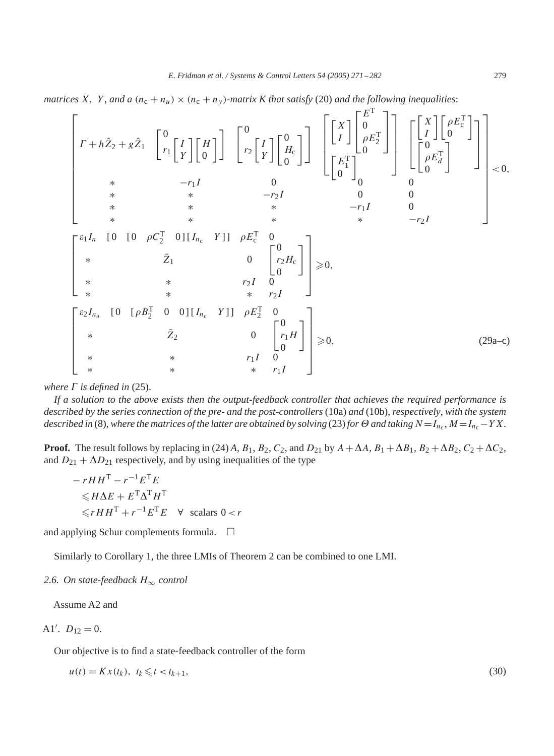*matrices* X, Y, and a  $(n_c + n_u) \times (n_c + n_v)$ -matrix K that satisfy (20) and the following inequalities:

$$
\begin{bmatrix}\n r + h\hat{Z}_2 + g\hat{Z}_1 & \begin{bmatrix} 0 & I \\ r_1 & I \\ r \end{bmatrix} \begin{bmatrix} H \\ 0 \end{bmatrix}\n\end{bmatrix}\n\begin{bmatrix} 0 & I \\ r_2 & I \\ r \end{bmatrix}\n\begin{bmatrix} 0 & I \\ 0 & 0 \\ 0 \end{bmatrix}\n\end{bmatrix}\n\begin{bmatrix} 0 & I \\ 0 & 0 \\ 0 & 0 \end{bmatrix}\n\begin{bmatrix} 0 & I \\ 0 & 0 \\ 0 & 0 \end{bmatrix}\n\begin{bmatrix} 0 & I \\ 0 & 0 \\ 0 & 0 \end{bmatrix}\n\begin{bmatrix} 0 & I \\ 0 & 0 \\ 0 & 0 \end{bmatrix}\n\begin{bmatrix} 0 & I \\ 0 & 0 \\ 0 & 0 \end{bmatrix}\n\begin{bmatrix} 0 & I \\ 0 & 0 \\ 0 & 0 \end{bmatrix}\n\begin{bmatrix} 0 & I \\ 0 & 0 \\ 0 & 0 \end{bmatrix}\n\begin{bmatrix} 0 & I \\ 0 & 0 \\ 0 & 0 \end{bmatrix}\n\begin{bmatrix} 0 & I \\ 0 & 0 \\ 0 & 0 \end{bmatrix}\n\begin{bmatrix} 0 & I \\ 0 & 0 \\ 0 & 0 \end{bmatrix}\n\begin{bmatrix} 0 & I \\ 0 & 0 \\ 0 & 0 \end{bmatrix}\n\begin{bmatrix} 0 & I \\ 0 & 0 \\ 0 & 0 \end{bmatrix}\n\begin{bmatrix} 0 & I \\ 0 & 0 \\ 0 & 0 \end{bmatrix}\n\begin{bmatrix} 0 & I \\ 0 & 0 \\ 0 & 0 \end{bmatrix}\n\begin{bmatrix} 0 & I \\ 0 & 0 \\ 0 & 0 \end{bmatrix}\n\begin{bmatrix} 0 & I \\ 0 & 0 \\ 0 & 0 \end{bmatrix}\n\begin{bmatrix} 0 & I \\ 0 & 0 \\ 0 & 0 \end{bmatrix}\n\begin{bmatrix} 0 & I \\ 0 & 0 \\ 0 & 0 \end{bmatrix}\n\begin{bmatrix} 0 & I \\ 0 & 0 \\ 0 & 0 \end{bmatrix}\n\begin{bmatrix} 0 & I \\ 0 & 0 \\ 0 & 0 \end{bmatrix}\n\begin{bmatrix} 0 & I \\ 0 & 0 \\ 0 & 0 \end{bmatrix}\n\begin{bmatrix} 0 & I \\ 0 & 0 \\ 0 &
$$

*where*  $\Gamma$  *is defined in* (25).

*If a solution to the above exists then the output-feedback controller that achieves the required performance is described by the series connection of the pre- and the post-controllers* (10a) *and* (10b), *respectively*, *with the system described in* (8), where the matrices of the latter are obtained by solving (23) for  $\Theta$  and taking  $N = I_{n_c}$ ,  $M = I_{n_c} - YX$ .

**Proof.** The result follows by replacing in (24) *A*,  $B_1$ ,  $B_2$ ,  $C_2$ , and  $D_{21}$  by  $A + \Delta A$ ,  $B_1 + \Delta B_1$ ,  $B_2 + \Delta B_2$ ,  $C_2 + \Delta C_2$ , and  $D_{21} + \Delta D_{21}$  respectively, and by using inequalities of the type

$$
-rHH^{T} - r^{-1}E^{T}E
$$
  
\n
$$
\leq H\Delta E + E^{T}\Delta^{T}H^{T}
$$
  
\n
$$
\leq rHH^{T} + r^{-1}E^{T}E \quad \forall \text{ scalars } 0 < r
$$

and applying Schur complements formula.  $\Box$ 

Similarly to Corollary 1, the three LMIs of Theorem 2 can be combined to one LMI.

## *2.6. On state-feedback* H∞ *control*

Assume A2 and

$$
A1'.\ \ D_{12}=0.
$$

Our objective is to find a state-feedback controller of the form

$$
u(t) = Kx(t_k), \ t_k \leq t < t_{k+1},\tag{30}
$$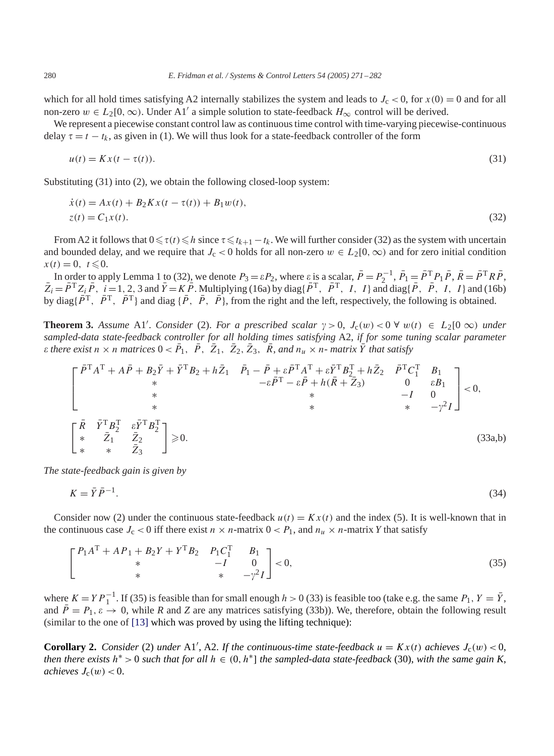which for all hold times satisfying A2 internally stabilizes the system and leads to  $J_c < 0$ , for  $x(0) = 0$  and for all non-zero  $w \in L_2[0,\infty)$ . Under A1' a simple solution to state-feedback  $H_\infty$  control will be derived.

We represent a piecewise constant control law as continuous time control with time-varying piecewise-continuous delay  $\tau = t - t_k$ , as given in (1). We will thus look for a state-feedback controller of the form

$$
u(t) = Kx(t - \tau(t)).
$$
\n<sup>(31)</sup>

Substituting  $(31)$  into  $(2)$ , we obtain the following closed-loop system:

$$
\begin{aligned} \dot{x}(t) &= Ax(t) + B_2 K x(t - \tau(t)) + B_1 w(t), \\ z(t) &= C_1 x(t). \end{aligned} \tag{32}
$$

From A2 it follows that  $0 \le \tau(t) \le h$  since  $\tau \le t_{k+1} - t_k$ . We will further consider (32) as the system with uncertain and bounded delay, and we require that  $J_c < 0$  holds for all non-zero  $w \in L_2[0, \infty)$  and for zero initial condition  $x(t) = 0, t \le 0.$ 

In order to apply Lemma 1 to (32), we denote  $P_3 = \varepsilon P_2$ , where  $\varepsilon$  is a scalar,  $\bar{P} = P_2^{-1}$ ,  $\bar{P}_1 = \bar{P}^T P_1 \bar{P}$ ,  $\bar{R} = \bar{P}^T R \bar{P}$ ,  $\overline{Z}_i = \overline{P}^T Z_i \overline{P}$ ,  $i = 1, 2, 3$  and  $\overline{Y} = K \overline{P}$ . Multiplying (16a) by diag{ $\overline{P}^T$ ,  $\overline{P}^T$ ,  $I$ ,  $I$ } and diag{ $\overline{P}$ ,  $\overline{P}$ ,  $I$ ,  $I$ } and (16b) by diag{ $\bar{P}^T$ ,  $\bar{P}^T$ ,  $\bar{P}^T$ } and diag { $\bar{P}$ ,  $\bar{P}$ ,  $\bar{P}$ }, from the right and the left, respectively, the following is obtained.

**Theorem 3.** Assume A1'. *Consider* (2). *For a prescribed scalar*  $\gamma > 0$ ,  $J_c(w) < 0 \ \forall w(t) \in L_2[0 \infty)$  *under sampled-data state-feedback controller for all holding times satisfying* A2, *if for some tuning scalar parameter*  $\epsilon$  there exist  $n \times n$  matrices  $0 < \bar{P}_1$ ,  $\bar{P}$ ,  $\bar{Z}_1$ ,  $\bar{Z}_2$ ,  $\bar{Z}_3$ ,  $\bar{R}$ , and  $n_u \times n$ - matrix  $\bar{Y}$  that satisfy

$$
\begin{bmatrix}\n\bar{P}^T A^T + A\bar{P} + B_2 \bar{Y} + \bar{Y}^T B_2 + h\bar{Z}_1 & \bar{P}_1 - \bar{P} + \varepsilon \bar{P}^T A^T + \varepsilon \bar{Y}^T B_2^T + h\bar{Z}_2 & \bar{P}^T C_1^T & B_1 \\
\ast & -\varepsilon \bar{P}^T - \varepsilon \bar{P} + h(\bar{R} + \bar{Z}_3) & 0 & \varepsilon B_1 \\
\ast & \ast & -I & 0 \\
\ast & \ast & \ast & -\gamma^2 I\n\end{bmatrix} < 0,
$$
\n
$$
\begin{bmatrix}\n\bar{R} & \bar{Y}^T B_2^T & \varepsilon \bar{Y}^T B_2^T \\
\ast & \bar{Z}_1 & \bar{Z}_2 \\
\ast & \ast & \bar{Z}_3\n\end{bmatrix} \ge 0.
$$
\n(33a,b)

*The state-feedback gain is given by*

$$
K = \bar{Y}\bar{P}^{-1}.\tag{34}
$$

Consider now (2) under the continuous state-feedback  $u(t) = Kx(t)$  and the index (5). It is well-known that in the continuous case  $J_c < 0$  iff there exist  $n \times n$ -matrix  $0 < P_1$ , and  $n_u \times n$ -matrix *Y* that satisfy

$$
\begin{bmatrix} P_1 A^{\mathrm{T}} + A P_1 + B_2 Y + Y^{\mathrm{T}} B_2 & P_1 C_1^{\mathrm{T}} & B_1 \\ * & -I & 0 \\ * & * & -\gamma^2 I \end{bmatrix} < 0,\tag{35}
$$

where  $K = Y P_1^{-1}$ . If (35) is feasible than for small enough  $h > 0$  (33) is feasible too (take e.g. the same  $P_1$ ,  $Y = \overline{Y}$ , and  $\bar{P} = P_1, \varepsilon \to 0$ , while *R* and *Z* are any matrices satisfying (33b)). We, therefore, obtain the following result (similar to the one of [\[13\]](#page-11-0) which was proved by using the lifting technique):

**Corollary 2.** *Consider* (2) *under* A1', A2. If the continuous-time state-feedback  $u = Kx(t)$  achieves  $J_c(w) < 0$ , *then there exists*  $h^* > 0$  *such that for all*  $h \in (0, h^*]$  *the sampled-data state-feedback* (30), *with the same gain K*, *achieves*  $J_c(w) < 0$ .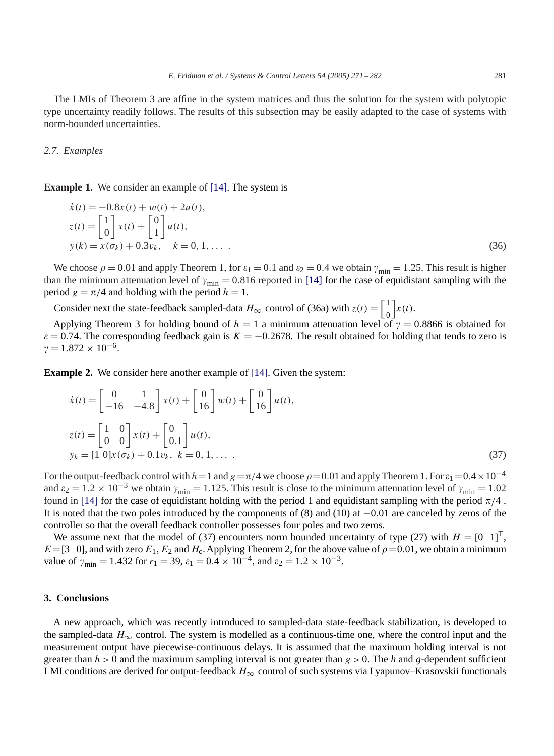The LMIs of Theorem 3 are affine in the system matrices and thus the solution for the system with polytopic type uncertainty readily follows. The results of this subsection may be easily adapted to the case of systems with norm-bounded uncertainties.

#### *2.7. Examples*

**Example 1.** We consider an example of [\[14\].](#page-11-0) The system is

$$
\begin{aligned}\n\dot{x}(t) &= -0.8x(t) + w(t) + 2u(t), \\
z(t) &= \begin{bmatrix} 1 \\ 0 \end{bmatrix} x(t) + \begin{bmatrix} 0 \\ 1 \end{bmatrix} u(t), \\
y(k) &= x(\sigma_k) + 0.3v_k, \quad k = 0, 1, \dots\n\end{aligned}
$$
\n(36)

We choose  $\rho = 0.01$  and apply Theorem 1, for  $\varepsilon_1 = 0.1$  and  $\varepsilon_2 = 0.4$  we obtain  $\gamma_{\text{min}} = 1.25$ . This result is higher than the minimum attenuation level of  $\gamma_{\rm min} = 0.816$  reported in [\[14\]](#page-11-0) for the case of equidistant sampling with the period  $g = \pi/4$  and holding with the period  $h = 1$ .

Consider next the state-feedback sampled-data  $H_{\infty}$  control of (36a) with  $z(t) = \begin{bmatrix} 1 \\ 0 \end{bmatrix}$ 0  $\big]x(t).$ 

Applying Theorem 3 for holding bound of  $h = 1$  a minimum attenuation level of  $\gamma = 0.8866$  is obtained for  $\varepsilon$  = 0.74. The corresponding feedback gain is  $K = -0.2678$ . The result obtained for holding that tends to zero is  $\gamma = 1.872 \times 10^{-6}$ .

**Example 2.** We consider here another example of [\[14\].](#page-11-0) Given the system:

$$
\dot{x}(t) = \begin{bmatrix} 0 & 1 \\ -16 & -4.8 \end{bmatrix} x(t) + \begin{bmatrix} 0 \\ 16 \end{bmatrix} w(t) + \begin{bmatrix} 0 \\ 16 \end{bmatrix} u(t),
$$
  
\n
$$
z(t) = \begin{bmatrix} 1 & 0 \\ 0 & 0 \end{bmatrix} x(t) + \begin{bmatrix} 0 \\ 0.1 \end{bmatrix} u(t),
$$
  
\n
$$
y_k = \begin{bmatrix} 1 & 0 \end{bmatrix} x(\sigma_k) + 0.1 v_k, \ k = 0, 1, \dots
$$
 (37)

For the output-feedback control with  $h=1$  and  $g=\pi/4$  we choose  $\rho=0.01$  and apply Theorem 1. For  $\varepsilon_1=0.4\times10^{-4}$ and  $\varepsilon_2 = 1.2 \times 10^{-3}$  we obtain  $\gamma_{\text{min}} = 1.125$ . This result is close to the minimum attenuation level of  $\gamma_{\text{min}} = 1.02$ found in [\[14\]](#page-11-0) for the case of equidistant holding with the period 1 and equidistant sampling with the period  $\pi/4$ . It is noted that the two poles introduced by the components of (8) and (10) at −0.01 are canceled by zeros of the controller so that the overall feedback controller possesses four poles and two zeros.

We assume next that the model of (37) encounters norm bounded uncertainty of type (27) with  $H = \begin{bmatrix} 0 \\ 1 \end{bmatrix}^T$ ,  $E=[3 \ 0]$ , and with zero  $E_1$ ,  $E_2$  and  $H_c$ . Applying Theorem 2, for the above value of  $\rho=0.01$ , we obtain a minimum value of  $\gamma_{\text{min}} = 1.432$  for  $r_1 = 39$ ,  $\varepsilon_1 = 0.4 \times 10^{-4}$ , and  $\varepsilon_2 = 1.2 \times 10^{-3}$ .

#### **3. Conclusions**

A new approach, which was recently introduced to sampled-data state-feedback stabilization, is developed to the sampled-data  $H_{\infty}$  control. The system is modelled as a continuous-time one, where the control input and the measurement output have piecewise-continuous delays. It is assumed that the maximum holding interval is not greater than  $h > 0$  and the maximum sampling interval is not greater than  $g > 0$ . The h and g-dependent sufficient LMI conditions are derived for output-feedback  $H_{\infty}$  control of such systems via Lyapunov–Krasovskii functionals